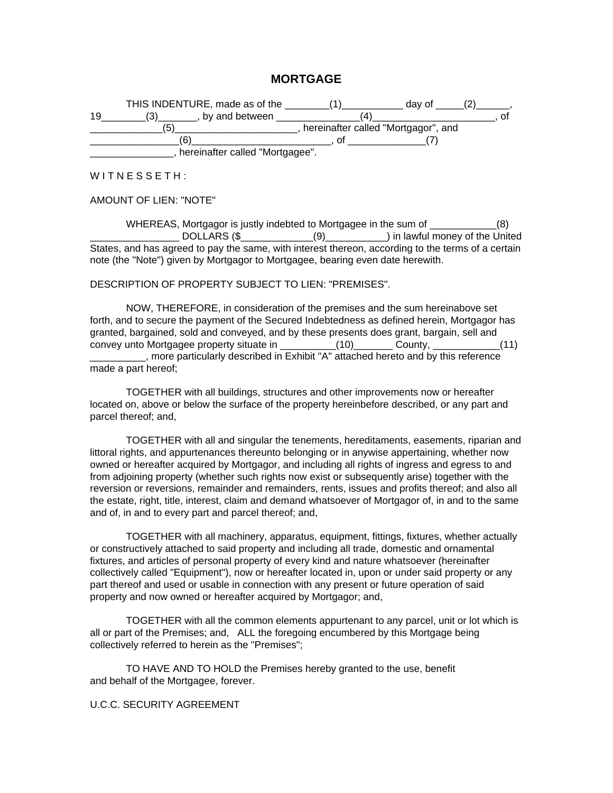# **MORTGAGE**

|                                 | THIS INDENTURE, made as of the |                                     | dav of |  |
|---------------------------------|--------------------------------|-------------------------------------|--------|--|
| 19                              | , by and between               | 4                                   |        |  |
|                                 |                                | hereinafter called "Mortgagor", and |        |  |
|                                 |                                |                                     |        |  |
| hereinafter called "Mortgagee". |                                |                                     |        |  |

 $W$  I T N F S S F T H  $\cdot$ 

## AMOUNT OF LIEN: "NOTE"

WHEREAS, Mortgagor is justly indebted to Mortgagee in the sum of  $(8)$ \_\_\_\_\_\_\_\_\_\_\_\_\_\_\_\_ DOLLARS (\$\_\_\_\_\_\_\_\_\_\_\_\_\_(9)\_\_\_\_\_\_\_\_\_\_\_) in lawful money of the United States, and has agreed to pay the same, with interest thereon, according to the terms of a certain note (the "Note") given by Mortgagor to Mortgagee, bearing even date herewith.

#### DESCRIPTION OF PROPERTY SUBJECT TO LIEN: "PREMISES".

NOW, THEREFORE, in consideration of the premises and the sum hereinabove set forth, and to secure the payment of the Secured Indebtedness as defined herein, Mortgagor has granted, bargained, sold and conveyed, and by these presents does grant, bargain, sell and convey unto Mortgagee property situate in  $\_$  (10) County,  $\_$  County,  $\_$ \_\_\_\_\_\_\_\_\_\_, more particularly described in Exhibit "A" attached hereto and by this reference made a part hereof;

TOGETHER with all buildings, structures and other improvements now or hereafter located on, above or below the surface of the property hereinbefore described, or any part and parcel thereof; and,

TOGETHER with all and singular the tenements, hereditaments, easements, riparian and littoral rights, and appurtenances thereunto belonging or in anywise appertaining, whether now owned or hereafter acquired by Mortgagor, and including all rights of ingress and egress to and from adjoining property (whether such rights now exist or subsequently arise) together with the reversion or reversions, remainder and remainders, rents, issues and profits thereof; and also all the estate, right, title, interest, claim and demand whatsoever of Mortgagor of, in and to the same and of, in and to every part and parcel thereof; and,

TOGETHER with all machinery, apparatus, equipment, fittings, fixtures, whether actually or constructively attached to said property and including all trade, domestic and ornamental fixtures, and articles of personal property of every kind and nature whatsoever (hereinafter collectively called "Equipment"), now or hereafter located in, upon or under said property or any part thereof and used or usable in connection with any present or future operation of said property and now owned or hereafter acquired by Mortgagor; and,

TOGETHER with all the common elements appurtenant to any parcel, unit or lot which is all or part of the Premises; and, ALL the foregoing encumbered by this Mortgage being collectively referred to herein as the "Premises";

TO HAVE AND TO HOLD the Premises hereby granted to the use, benefit and behalf of the Mortgagee, forever.

U.C.C. SECURITY AGREEMENT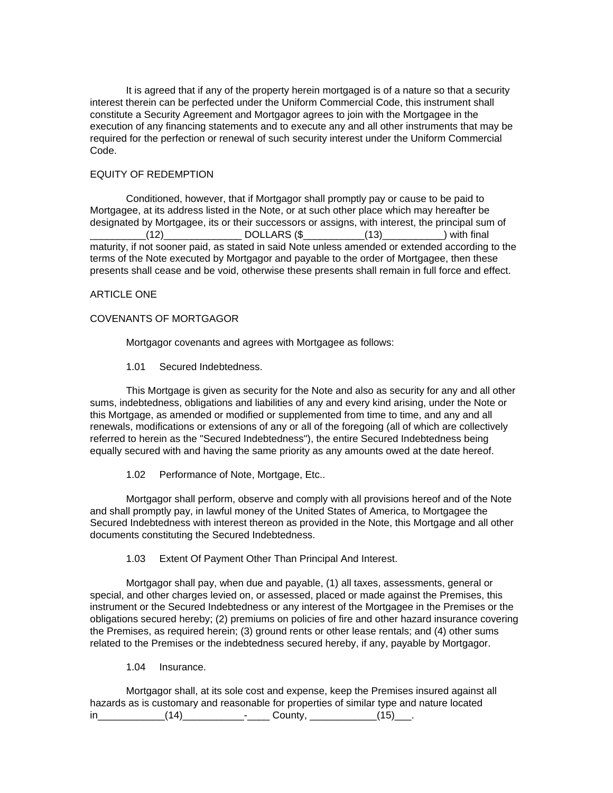It is agreed that if any of the property herein mortgaged is of a nature so that a security interest therein can be perfected under the Uniform Commercial Code, this instrument shall constitute a Security Agreement and Mortgagor agrees to join with the Mortgagee in the execution of any financing statements and to execute any and all other instruments that may be required for the perfection or renewal of such security interest under the Uniform Commercial Code.

### EQUITY OF REDEMPTION

Conditioned, however, that if Mortgagor shall promptly pay or cause to be paid to Mortgagee, at its address listed in the Note, or at such other place which may hereafter be designated by Mortgagee, its or their successors or assigns, with interest, the principal sum of  $(12)$  DOLLARS (\$ $(13)$ maturity, if not sooner paid, as stated in said Note unless amended or extended according to the terms of the Note executed by Mortgagor and payable to the order of Mortgagee, then these presents shall cease and be void, otherwise these presents shall remain in full force and effect.

## ARTICLE ONE

## COVENANTS OF MORTGAGOR

Mortgagor covenants and agrees with Mortgagee as follows:

1.01 Secured Indebtedness.

This Mortgage is given as security for the Note and also as security for any and all other sums, indebtedness, obligations and liabilities of any and every kind arising, under the Note or this Mortgage, as amended or modified or supplemented from time to time, and any and all renewals, modifications or extensions of any or all of the foregoing (all of which are collectively referred to herein as the "Secured Indebtedness"), the entire Secured Indebtedness being equally secured with and having the same priority as any amounts owed at the date hereof.

1.02 Performance of Note, Mortgage, Etc..

Mortgagor shall perform, observe and comply with all provisions hereof and of the Note and shall promptly pay, in lawful money of the United States of America, to Mortgagee the Secured Indebtedness with interest thereon as provided in the Note, this Mortgage and all other documents constituting the Secured Indebtedness.

1.03 Extent Of Payment Other Than Principal And Interest.

Mortgagor shall pay, when due and payable, (1) all taxes, assessments, general or special, and other charges levied on, or assessed, placed or made against the Premises, this instrument or the Secured Indebtedness or any interest of the Mortgagee in the Premises or the obligations secured hereby; (2) premiums on policies of fire and other hazard insurance covering the Premises, as required herein; (3) ground rents or other lease rentals; and (4) other sums related to the Premises or the indebtedness secured hereby, if any, payable by Mortgagor.

1.04 Insurance.

Mortgagor shall, at its sole cost and expense, keep the Premises insured against all hazards as is customary and reasonable for properties of similar type and nature located in\_\_\_\_\_\_\_\_\_\_\_\_\_(14)\_\_\_\_\_\_\_\_\_\_\_\_\_-\_\_\_\_\_\_County, \_\_\_\_\_\_\_\_\_\_\_\_\_\_(15)\_\_\_\_.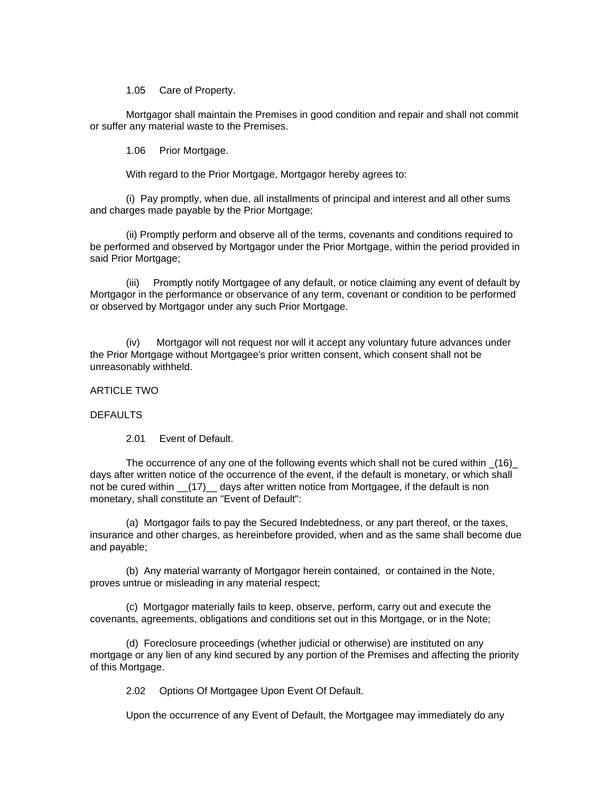1.05 Care of Property.

Mortgagor shall maintain the Premises in good condition and repair and shall not commit or suffer any material waste to the Premises.

1.06 Prior Mortgage.

With regard to the Prior Mortgage, Mortgagor hereby agrees to:

(i) Pay promptly, when due, all installments of principal and interest and all other sums and charges made payable by the Prior Mortgage;

(ii) Promptly perform and observe all of the terms, covenants and conditions required to be performed and observed by Mortgagor under the Prior Mortgage, within the period provided in said Prior Mortgage;

(iii) Promptly notify Mortgagee of any default, or notice claiming any event of default by Mortgagor in the performance or observance of any term, covenant or condition to be performed or observed by Mortgagor under any such Prior Mortgage.

(iv) Mortgagor will not request nor will it accept any voluntary future advances under the Prior Mortgage without Mortgagee's prior written consent, which consent shall not be unreasonably withheld.

### ARTICLE TWO

#### DEFAULTS

2.01 Event of Default.

The occurrence of any one of the following events which shall not be cured within  $(16)$ days after written notice of the occurrence of the event, if the default is monetary, or which shall not be cured within  $(17)$  days after written notice from Mortgagee, if the default is non monetary, shall constitute an "Event of Default":

(a) Mortgagor fails to pay the Secured Indebtedness, or any part thereof, or the taxes, insurance and other charges, as hereinbefore provided, when and as the same shall become due and payable;

(b) Any material warranty of Mortgagor herein contained, or contained in the Note, proves untrue or misleading in any material respect;

(c) Mortgagor materially fails to keep, observe, perform, carry out and execute the covenants, agreements, obligations and conditions set out in this Mortgage, or in the Note;

(d) Foreclosure proceedings (whether judicial or otherwise) are instituted on any mortgage or any lien of any kind secured by any portion of the Premises and affecting the priority of this Mortgage.

2.02 Options Of Mortgagee Upon Event Of Default.

Upon the occurrence of any Event of Default, the Mortgagee may immediately do any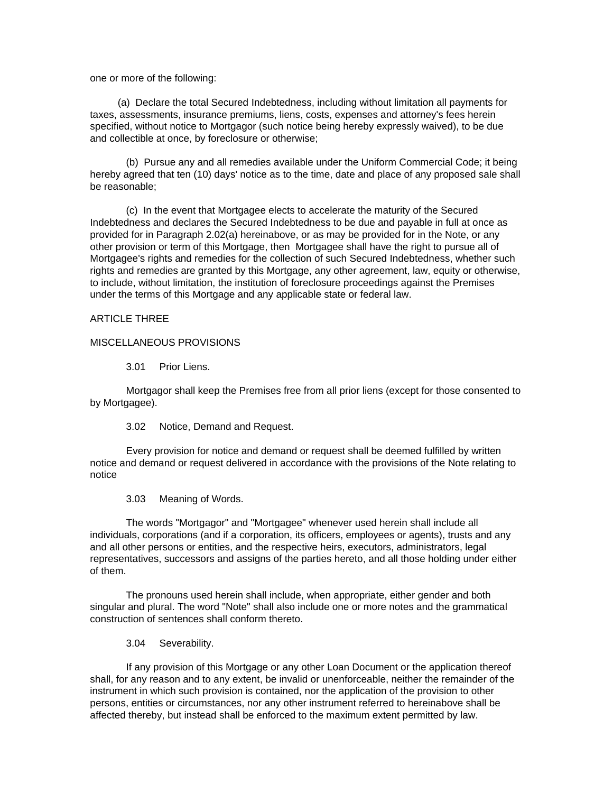one or more of the following:

 (a) Declare the total Secured Indebtedness, including without limitation all payments for taxes, assessments, insurance premiums, liens, costs, expenses and attorney's fees herein specified, without notice to Mortgagor (such notice being hereby expressly waived), to be due and collectible at once, by foreclosure or otherwise;

(b) Pursue any and all remedies available under the Uniform Commercial Code; it being hereby agreed that ten (10) days' notice as to the time, date and place of any proposed sale shall be reasonable;

(c) In the event that Mortgagee elects to accelerate the maturity of the Secured Indebtedness and declares the Secured Indebtedness to be due and payable in full at once as provided for in Paragraph 2.02(a) hereinabove, or as may be provided for in the Note, or any other provision or term of this Mortgage, then Mortgagee shall have the right to pursue all of Mortgagee's rights and remedies for the collection of such Secured Indebtedness, whether such rights and remedies are granted by this Mortgage, any other agreement, law, equity or otherwise, to include, without limitation, the institution of foreclosure proceedings against the Premises under the terms of this Mortgage and any applicable state or federal law.

#### ARTICLE THREE

## MISCELLANEOUS PROVISIONS

3.01 Prior Liens.

Mortgagor shall keep the Premises free from all prior liens (except for those consented to by Mortgagee).

3.02 Notice, Demand and Request.

Every provision for notice and demand or request shall be deemed fulfilled by written notice and demand or request delivered in accordance with the provisions of the Note relating to notice

3.03 Meaning of Words.

The words "Mortgagor" and "Mortgagee" whenever used herein shall include all individuals, corporations (and if a corporation, its officers, employees or agents), trusts and any and all other persons or entities, and the respective heirs, executors, administrators, legal representatives, successors and assigns of the parties hereto, and all those holding under either of them.

The pronouns used herein shall include, when appropriate, either gender and both singular and plural. The word "Note" shall also include one or more notes and the grammatical construction of sentences shall conform thereto.

3.04 Severability.

If any provision of this Mortgage or any other Loan Document or the application thereof shall, for any reason and to any extent, be invalid or unenforceable, neither the remainder of the instrument in which such provision is contained, nor the application of the provision to other persons, entities or circumstances, nor any other instrument referred to hereinabove shall be affected thereby, but instead shall be enforced to the maximum extent permitted by law.